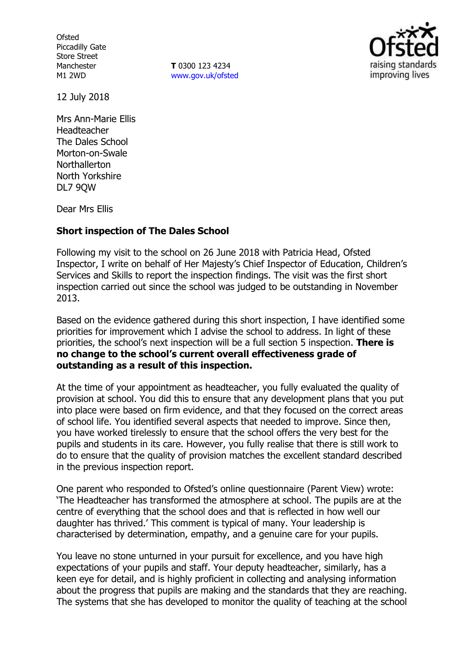**Ofsted** Piccadilly Gate Store Street Manchester M1 2WD

**T** 0300 123 4234 www.gov.uk/ofsted



12 July 2018

Mrs Ann-Marie Ellis Headteacher The Dales School Morton-on-Swale Northallerton North Yorkshire DL7 9QW

Dear Mrs Ellis

## **Short inspection of The Dales School**

Following my visit to the school on 26 June 2018 with Patricia Head, Ofsted Inspector, I write on behalf of Her Majesty's Chief Inspector of Education, Children's Services and Skills to report the inspection findings. The visit was the first short inspection carried out since the school was judged to be outstanding in November 2013.

Based on the evidence gathered during this short inspection, I have identified some priorities for improvement which I advise the school to address. In light of these priorities, the school's next inspection will be a full section 5 inspection. **There is no change to the school's current overall effectiveness grade of outstanding as a result of this inspection.**

At the time of your appointment as headteacher, you fully evaluated the quality of provision at school. You did this to ensure that any development plans that you put into place were based on firm evidence, and that they focused on the correct areas of school life. You identified several aspects that needed to improve. Since then, you have worked tirelessly to ensure that the school offers the very best for the pupils and students in its care. However, you fully realise that there is still work to do to ensure that the quality of provision matches the excellent standard described in the previous inspection report.

One parent who responded to Ofsted's online questionnaire (Parent View) wrote: 'The Headteacher has transformed the atmosphere at school. The pupils are at the centre of everything that the school does and that is reflected in how well our daughter has thrived.' This comment is typical of many. Your leadership is characterised by determination, empathy, and a genuine care for your pupils.

You leave no stone unturned in your pursuit for excellence, and you have high expectations of your pupils and staff. Your deputy headteacher, similarly, has a keen eye for detail, and is highly proficient in collecting and analysing information about the progress that pupils are making and the standards that they are reaching. The systems that she has developed to monitor the quality of teaching at the school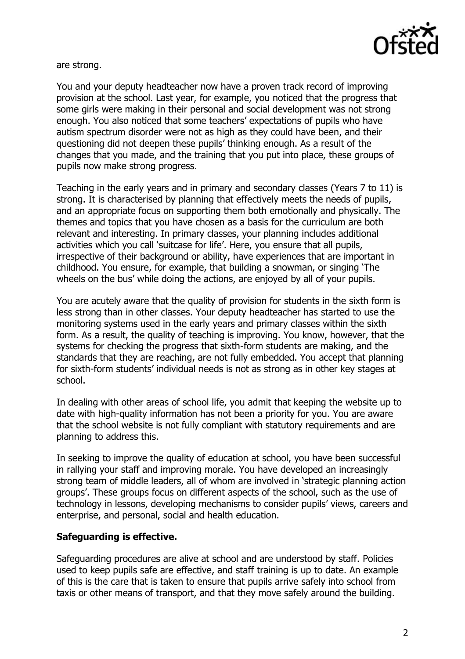

are strong.

You and your deputy headteacher now have a proven track record of improving provision at the school. Last year, for example, you noticed that the progress that some girls were making in their personal and social development was not strong enough. You also noticed that some teachers' expectations of pupils who have autism spectrum disorder were not as high as they could have been, and their questioning did not deepen these pupils' thinking enough. As a result of the changes that you made, and the training that you put into place, these groups of pupils now make strong progress.

Teaching in the early years and in primary and secondary classes (Years 7 to 11) is strong. It is characterised by planning that effectively meets the needs of pupils, and an appropriate focus on supporting them both emotionally and physically. The themes and topics that you have chosen as a basis for the curriculum are both relevant and interesting. In primary classes, your planning includes additional activities which you call 'suitcase for life'. Here, you ensure that all pupils, irrespective of their background or ability, have experiences that are important in childhood. You ensure, for example, that building a snowman, or singing 'The wheels on the bus' while doing the actions, are enjoyed by all of your pupils.

You are acutely aware that the quality of provision for students in the sixth form is less strong than in other classes. Your deputy headteacher has started to use the monitoring systems used in the early years and primary classes within the sixth form. As a result, the quality of teaching is improving. You know, however, that the systems for checking the progress that sixth-form students are making, and the standards that they are reaching, are not fully embedded. You accept that planning for sixth-form students' individual needs is not as strong as in other key stages at school.

In dealing with other areas of school life, you admit that keeping the website up to date with high-quality information has not been a priority for you. You are aware that the school website is not fully compliant with statutory requirements and are planning to address this.

In seeking to improve the quality of education at school, you have been successful in rallying your staff and improving morale. You have developed an increasingly strong team of middle leaders, all of whom are involved in 'strategic planning action groups'. These groups focus on different aspects of the school, such as the use of technology in lessons, developing mechanisms to consider pupils' views, careers and enterprise, and personal, social and health education.

## **Safeguarding is effective.**

Safeguarding procedures are alive at school and are understood by staff. Policies used to keep pupils safe are effective, and staff training is up to date. An example of this is the care that is taken to ensure that pupils arrive safely into school from taxis or other means of transport, and that they move safely around the building.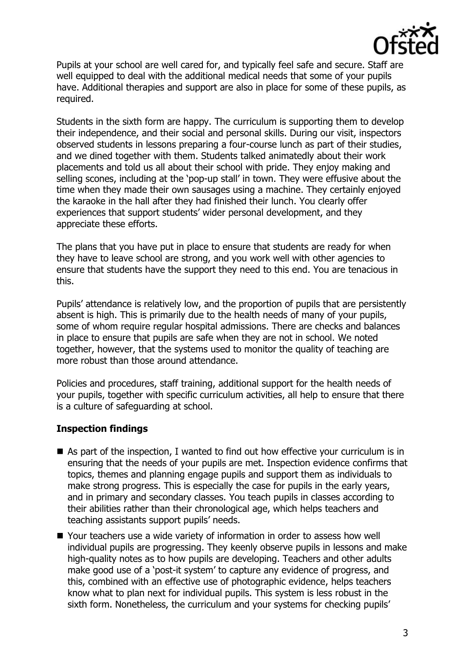

Pupils at your school are well cared for, and typically feel safe and secure. Staff are well equipped to deal with the additional medical needs that some of your pupils have. Additional therapies and support are also in place for some of these pupils, as required.

Students in the sixth form are happy. The curriculum is supporting them to develop their independence, and their social and personal skills. During our visit, inspectors observed students in lessons preparing a four-course lunch as part of their studies, and we dined together with them. Students talked animatedly about their work placements and told us all about their school with pride. They enjoy making and selling scones, including at the 'pop-up stall' in town. They were effusive about the time when they made their own sausages using a machine. They certainly enjoyed the karaoke in the hall after they had finished their lunch. You clearly offer experiences that support students' wider personal development, and they appreciate these efforts.

The plans that you have put in place to ensure that students are ready for when they have to leave school are strong, and you work well with other agencies to ensure that students have the support they need to this end. You are tenacious in this.

Pupils' attendance is relatively low, and the proportion of pupils that are persistently absent is high. This is primarily due to the health needs of many of your pupils, some of whom require regular hospital admissions. There are checks and balances in place to ensure that pupils are safe when they are not in school. We noted together, however, that the systems used to monitor the quality of teaching are more robust than those around attendance.

Policies and procedures, staff training, additional support for the health needs of your pupils, together with specific curriculum activities, all help to ensure that there is a culture of safeguarding at school.

## **Inspection findings**

- $\blacksquare$  As part of the inspection, I wanted to find out how effective your curriculum is in ensuring that the needs of your pupils are met. Inspection evidence confirms that topics, themes and planning engage pupils and support them as individuals to make strong progress. This is especially the case for pupils in the early years, and in primary and secondary classes. You teach pupils in classes according to their abilities rather than their chronological age, which helps teachers and teaching assistants support pupils' needs.
- Your teachers use a wide variety of information in order to assess how well individual pupils are progressing. They keenly observe pupils in lessons and make high-quality notes as to how pupils are developing. Teachers and other adults make good use of a 'post-it system' to capture any evidence of progress, and this, combined with an effective use of photographic evidence, helps teachers know what to plan next for individual pupils. This system is less robust in the sixth form. Nonetheless, the curriculum and your systems for checking pupils'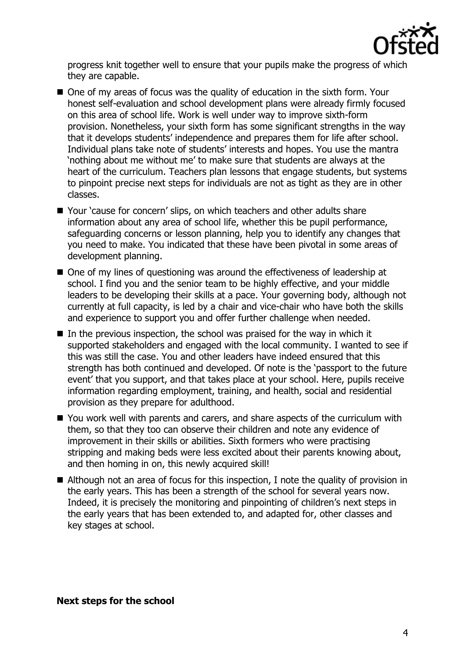

progress knit together well to ensure that your pupils make the progress of which they are capable.

- One of my areas of focus was the quality of education in the sixth form. Your honest self-evaluation and school development plans were already firmly focused on this area of school life. Work is well under way to improve sixth-form provision. Nonetheless, your sixth form has some significant strengths in the way that it develops students' independence and prepares them for life after school. Individual plans take note of students' interests and hopes. You use the mantra 'nothing about me without me' to make sure that students are always at the heart of the curriculum. Teachers plan lessons that engage students, but systems to pinpoint precise next steps for individuals are not as tight as they are in other classes.
- Your 'cause for concern' slips, on which teachers and other adults share information about any area of school life, whether this be pupil performance, safeguarding concerns or lesson planning, help you to identify any changes that you need to make. You indicated that these have been pivotal in some areas of development planning.
- One of my lines of questioning was around the effectiveness of leadership at school. I find you and the senior team to be highly effective, and your middle leaders to be developing their skills at a pace. Your governing body, although not currently at full capacity, is led by a chair and vice-chair who have both the skills and experience to support you and offer further challenge when needed.
- $\blacksquare$  In the previous inspection, the school was praised for the way in which it supported stakeholders and engaged with the local community. I wanted to see if this was still the case. You and other leaders have indeed ensured that this strength has both continued and developed. Of note is the 'passport to the future event' that you support, and that takes place at your school. Here, pupils receive information regarding employment, training, and health, social and residential provision as they prepare for adulthood.
- You work well with parents and carers, and share aspects of the curriculum with them, so that they too can observe their children and note any evidence of improvement in their skills or abilities. Sixth formers who were practising stripping and making beds were less excited about their parents knowing about, and then homing in on, this newly acquired skill!
- Although not an area of focus for this inspection, I note the quality of provision in the early years. This has been a strength of the school for several years now. Indeed, it is precisely the monitoring and pinpointing of children's next steps in the early years that has been extended to, and adapted for, other classes and key stages at school.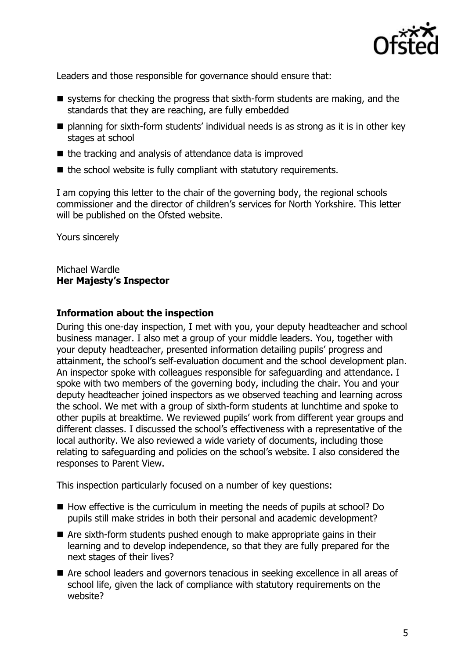

Leaders and those responsible for governance should ensure that:

- $\blacksquare$  systems for checking the progress that sixth-form students are making, and the standards that they are reaching, are fully embedded
- planning for sixth-form students' individual needs is as strong as it is in other key stages at school
- $\blacksquare$  the tracking and analysis of attendance data is improved
- $\blacksquare$  the school website is fully compliant with statutory requirements.

I am copying this letter to the chair of the governing body, the regional schools commissioner and the director of children's services for North Yorkshire. This letter will be published on the Ofsted website.

Yours sincerely

Michael Wardle **Her Majesty's Inspector**

## **Information about the inspection**

During this one-day inspection, I met with you, your deputy headteacher and school business manager. I also met a group of your middle leaders. You, together with your deputy headteacher, presented information detailing pupils' progress and attainment, the school's self-evaluation document and the school development plan. An inspector spoke with colleagues responsible for safeguarding and attendance. I spoke with two members of the governing body, including the chair. You and your deputy headteacher joined inspectors as we observed teaching and learning across the school. We met with a group of sixth-form students at lunchtime and spoke to other pupils at breaktime. We reviewed pupils' work from different year groups and different classes. I discussed the school's effectiveness with a representative of the local authority. We also reviewed a wide variety of documents, including those relating to safeguarding and policies on the school's website. I also considered the responses to Parent View.

This inspection particularly focused on a number of key questions:

- $\blacksquare$  How effective is the curriculum in meeting the needs of pupils at school? Do pupils still make strides in both their personal and academic development?
- Are sixth-form students pushed enough to make appropriate gains in their learning and to develop independence, so that they are fully prepared for the next stages of their lives?
- Are school leaders and governors tenacious in seeking excellence in all areas of school life, given the lack of compliance with statutory requirements on the website?